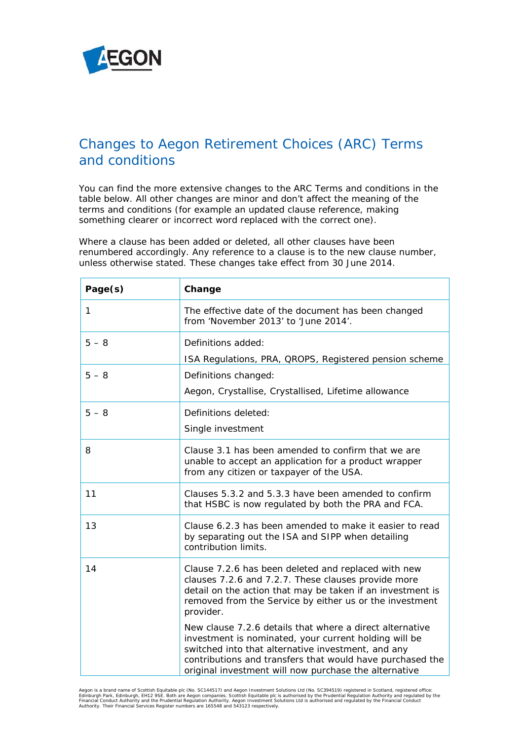

## Changes to Aegon Retirement Choices (ARC) Terms and conditions

You can find the more extensive changes to the *ARC Terms and conditions* in the table below. All other changes are minor and don't affect the meaning of the terms and conditions (for example an updated clause reference, making something clearer or incorrect word replaced with the correct one).

Where a clause has been added or deleted, all other clauses have been renumbered accordingly. Any reference to a clause is to the new clause number, unless otherwise stated. These changes take effect from 30 June 2014.

| Page(s)      | Change                                                                                                                                                                                                                                                                                        |
|--------------|-----------------------------------------------------------------------------------------------------------------------------------------------------------------------------------------------------------------------------------------------------------------------------------------------|
| $\mathbf{1}$ | The effective date of the document has been changed<br>from 'November 2013' to 'June 2014'.                                                                                                                                                                                                   |
| $5 - 8$      | Definitions added:                                                                                                                                                                                                                                                                            |
|              | ISA Regulations, PRA, QROPS, Registered pension scheme                                                                                                                                                                                                                                        |
| $5 - 8$      | Definitions changed:                                                                                                                                                                                                                                                                          |
|              | Aegon, Crystallise, Crystallised, Lifetime allowance                                                                                                                                                                                                                                          |
| $5 - 8$      | Definitions deleted:                                                                                                                                                                                                                                                                          |
|              | Single investment                                                                                                                                                                                                                                                                             |
| 8            | Clause 3.1 has been amended to confirm that we are<br>unable to accept an application for a product wrapper<br>from any citizen or taxpayer of the USA.                                                                                                                                       |
| 11           | Clauses 5.3.2 and 5.3.3 have been amended to confirm<br>that HSBC is now regulated by both the PRA and FCA.                                                                                                                                                                                   |
| 13           | Clause 6.2.3 has been amended to make it easier to read<br>by separating out the ISA and SIPP when detailing<br>contribution limits.                                                                                                                                                          |
| 14           | Clause 7.2.6 has been deleted and replaced with new<br>clauses 7.2.6 and 7.2.7. These clauses provide more<br>detail on the action that may be taken if an investment is<br>removed from the Service by either us or the investment<br>provider.                                              |
|              | New clause 7.2.6 details that where a direct alternative<br>investment is nominated, your current holding will be<br>switched into that alternative investment, and any<br>contributions and transfers that would have purchased the<br>original investment will now purchase the alternative |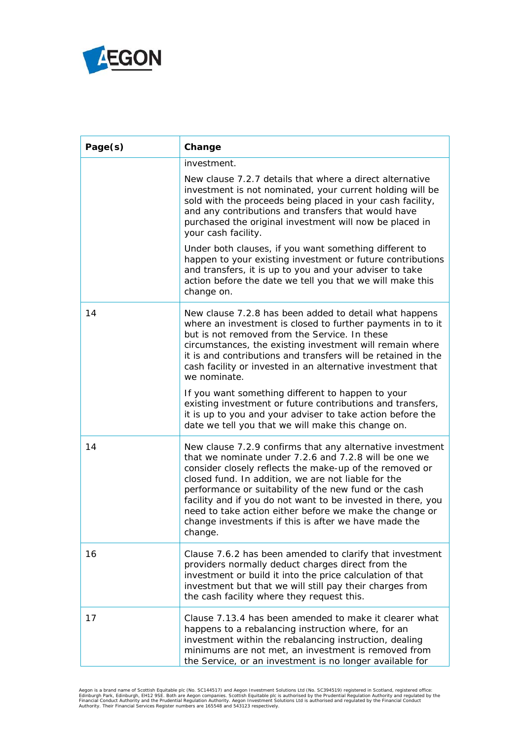

| Page(s) | Change                                                                                                                                                                                                                                                                                                                                                                                                                                                                                       |
|---------|----------------------------------------------------------------------------------------------------------------------------------------------------------------------------------------------------------------------------------------------------------------------------------------------------------------------------------------------------------------------------------------------------------------------------------------------------------------------------------------------|
|         | investment.                                                                                                                                                                                                                                                                                                                                                                                                                                                                                  |
|         | New clause 7.2.7 details that where a direct alternative<br>investment is not nominated, your current holding will be<br>sold with the proceeds being placed in your cash facility,<br>and any contributions and transfers that would have<br>purchased the original investment will now be placed in<br>your cash facility.                                                                                                                                                                 |
|         | Under both clauses, if you want something different to<br>happen to your existing investment or future contributions<br>and transfers, it is up to you and your adviser to take<br>action before the date we tell you that we will make this<br>change on.                                                                                                                                                                                                                                   |
| 14      | New clause 7.2.8 has been added to detail what happens<br>where an investment is closed to further payments in to it<br>but is not removed from the Service. In these<br>circumstances, the existing investment will remain where<br>it is and contributions and transfers will be retained in the<br>cash facility or invested in an alternative investment that<br>we nominate.                                                                                                            |
|         | If you want something different to happen to your<br>existing investment or future contributions and transfers,<br>it is up to you and your adviser to take action before the<br>date we tell you that we will make this change on.                                                                                                                                                                                                                                                          |
| 14      | New clause 7.2.9 confirms that any alternative investment<br>that we nominate under 7.2.6 and 7.2.8 will be one we<br>consider closely reflects the make-up of the removed or<br>closed fund. In addition, we are not liable for the<br>performance or suitability of the new fund or the cash<br>facility and if you do not want to be invested in there, you<br>need to take action either before we make the change or<br>change investments if this is after we have made the<br>change. |
| 16      | Clause 7.6.2 has been amended to clarify that investment<br>providers normally deduct charges direct from the<br>investment or build it into the price calculation of that<br>investment but that we will still pay their charges from<br>the cash facility where they request this.                                                                                                                                                                                                         |
| 17      | Clause 7.13.4 has been amended to make it clearer what<br>happens to a rebalancing instruction where, for an<br>investment within the rebalancing instruction, dealing<br>minimums are not met, an investment is removed from<br>the Service, or an investment is no longer available for                                                                                                                                                                                                    |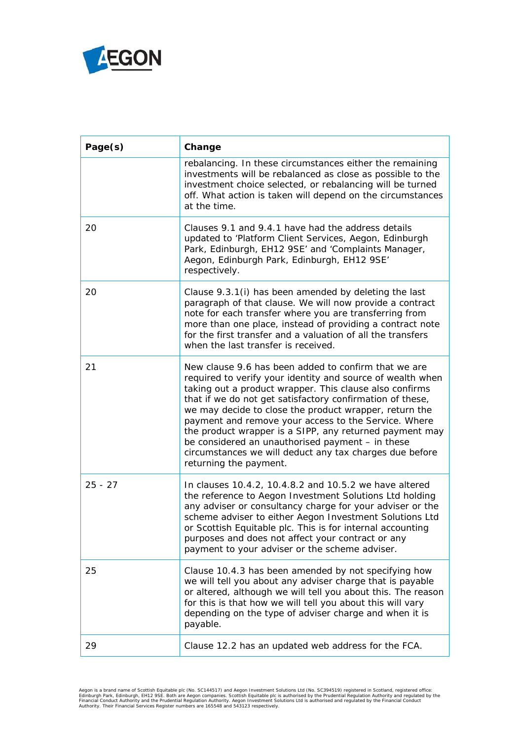

| Page(s)   | Change                                                                                                                                                                                                                                                                                                                                                                                                                                                                                                                                                           |
|-----------|------------------------------------------------------------------------------------------------------------------------------------------------------------------------------------------------------------------------------------------------------------------------------------------------------------------------------------------------------------------------------------------------------------------------------------------------------------------------------------------------------------------------------------------------------------------|
|           | rebalancing. In these circumstances either the remaining<br>investments will be rebalanced as close as possible to the<br>investment choice selected, or rebalancing will be turned<br>off. What action is taken will depend on the circumstances<br>at the time.                                                                                                                                                                                                                                                                                                |
| 20        | Clauses 9.1 and 9.4.1 have had the address details<br>updated to 'Platform Client Services, Aegon, Edinburgh<br>Park, Edinburgh, EH12 9SE' and 'Complaints Manager,<br>Aegon, Edinburgh Park, Edinburgh, EH12 9SE'<br>respectively.                                                                                                                                                                                                                                                                                                                              |
| 20        | Clause 9.3.1(i) has been amended by deleting the last<br>paragraph of that clause. We will now provide a contract<br>note for each transfer where you are transferring from<br>more than one place, instead of providing a contract note<br>for the first transfer and a valuation of all the transfers<br>when the last transfer is received.                                                                                                                                                                                                                   |
| 21        | New clause 9.6 has been added to confirm that we are<br>required to verify your identity and source of wealth when<br>taking out a product wrapper. This clause also confirms<br>that if we do not get satisfactory confirmation of these,<br>we may decide to close the product wrapper, return the<br>payment and remove your access to the Service. Where<br>the product wrapper is a SIPP, any returned payment may<br>be considered an unauthorised payment - in these<br>circumstances we will deduct any tax charges due before<br>returning the payment. |
| $25 - 27$ | In clauses 10.4.2, 10.4.8.2 and 10.5.2 we have altered<br>the reference to Aegon Investment Solutions Ltd holding<br>any adviser or consultancy charge for your adviser or the<br>scheme adviser to either Aegon Investment Solutions Ltd<br>or Scottish Equitable plc. This is for internal accounting<br>purposes and does not affect your contract or any<br>payment to your adviser or the scheme adviser.                                                                                                                                                   |
| 25        | Clause 10.4.3 has been amended by not specifying how<br>we will tell you about any adviser charge that is payable<br>or altered, although we will tell you about this. The reason<br>for this is that how we will tell you about this will vary<br>depending on the type of adviser charge and when it is<br>payable.                                                                                                                                                                                                                                            |
| 29        | Clause 12.2 has an updated web address for the FCA.                                                                                                                                                                                                                                                                                                                                                                                                                                                                                                              |

Aegon is a brand name of Scottish Equitable plc (No. SC144517) and Aegon Investment Solutions Ltd (No. SC394519) registered in Scotland, registered office:<br>Edinburgh Park, Edinburgh, EH12 9SE. Both are Aegon companies. Sco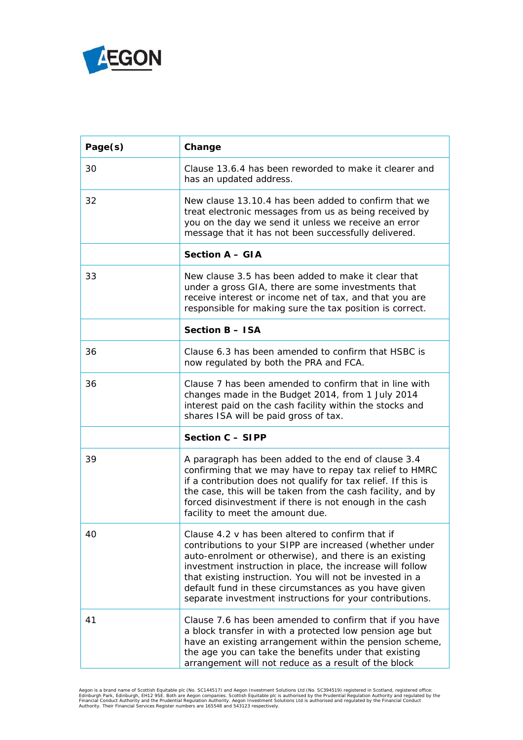

| Page(s) | Change                                                                                                                                                                                                                                                                                                                                                                                                              |
|---------|---------------------------------------------------------------------------------------------------------------------------------------------------------------------------------------------------------------------------------------------------------------------------------------------------------------------------------------------------------------------------------------------------------------------|
| 30      | Clause 13.6.4 has been reworded to make it clearer and<br>has an updated address.                                                                                                                                                                                                                                                                                                                                   |
| 32      | New clause 13.10.4 has been added to confirm that we<br>treat electronic messages from us as being received by<br>you on the day we send it unless we receive an error<br>message that it has not been successfully delivered.                                                                                                                                                                                      |
|         | <b>Section A - GIA</b>                                                                                                                                                                                                                                                                                                                                                                                              |
| 33      | New clause 3.5 has been added to make it clear that<br>under a gross GIA, there are some investments that<br>receive interest or income net of tax, and that you are<br>responsible for making sure the tax position is correct.                                                                                                                                                                                    |
|         | <b>Section B - ISA</b>                                                                                                                                                                                                                                                                                                                                                                                              |
| 36      | Clause 6.3 has been amended to confirm that HSBC is<br>now regulated by both the PRA and FCA.                                                                                                                                                                                                                                                                                                                       |
| 36      | Clause 7 has been amended to confirm that in line with<br>changes made in the Budget 2014, from 1 July 2014<br>interest paid on the cash facility within the stocks and<br>shares ISA will be paid gross of tax.                                                                                                                                                                                                    |
|         | Section C - SIPP                                                                                                                                                                                                                                                                                                                                                                                                    |
| 39      | A paragraph has been added to the end of clause 3.4<br>confirming that we may have to repay tax relief to HMRC<br>if a contribution does not qualify for tax relief. If this is<br>the case, this will be taken from the cash facility, and by<br>forced disinvestment if there is not enough in the cash<br>facility to meet the amount due.                                                                       |
| 40      | Clause 4.2 v has been altered to confirm that if<br>contributions to your SIPP are increased (whether under<br>auto-enrolment or otherwise), and there is an existing<br>investment instruction in place, the increase will follow<br>that existing instruction. You will not be invested in a<br>default fund in these circumstances as you have given<br>separate investment instructions for your contributions. |
| 41      | Clause 7.6 has been amended to confirm that if you have<br>a block transfer in with a protected low pension age but<br>have an existing arrangement within the pension scheme,<br>the age you can take the benefits under that existing<br>arrangement will not reduce as a result of the block                                                                                                                     |